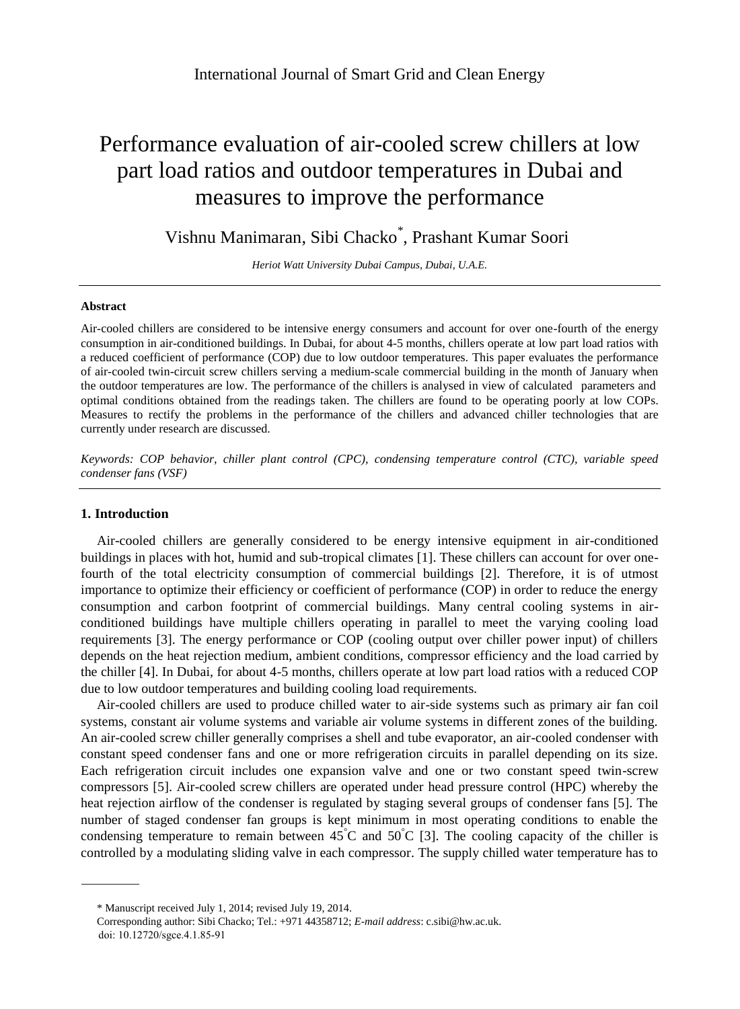# Performance evaluation of air-cooled screw chillers at low part load ratios and outdoor temperatures in Dubai and measures to improve the performance

Vishnu Manimaran, Sibi Chacko\*, Prashant Kumar Soori

*Heriot Watt University Dubai Campus, Dubai, U.A.E.*

## **Abstract**

Air-cooled chillers are considered to be intensive energy consumers and account for over one-fourth of the energy consumption in air-conditioned buildings. In Dubai, for about 4-5 months, chillers operate at low part load ratios with a reduced coefficient of performance (COP) due to low outdoor temperatures. This paper evaluates the performance of air-cooled twin-circuit screw chillers serving a medium-scale commercial building in the month of January when the outdoor temperatures are low. The performance of the chillers is analysed in view of calculated parameters and optimal conditions obtained from the readings taken. The chillers are found to be operating poorly at low COPs. Measures to rectify the problems in the performance of the chillers and advanced chiller technologies that are currently under research are discussed.

*Keywords: COP behavior, chiller plant control (CPC), condensing temperature control (CTC), variable speed condenser fans (VSF)*

## **1. Introduction**

Air-cooled chillers are generally considered to be energy intensive equipment in air-conditioned buildings in places with hot, humid and sub-tropical climates [1]. These chillers can account for over onefourth of the total electricity consumption of commercial buildings [2]. Therefore, it is of utmost importance to optimize their efficiency or coefficient of performance (COP) in order to reduce the energy consumption and carbon footprint of commercial buildings. Many central cooling systems in airconditioned buildings have multiple chillers operating in parallel to meet the varying cooling load requirements [3]. The energy performance or COP (cooling output over chiller power input) of chillers depends on the heat rejection medium, ambient conditions, compressor efficiency and the load carried by the chiller [4]. In Dubai, for about 4-5 months, chillers operate at low part load ratios with a reduced COP due to low outdoor temperatures and building cooling load requirements.

Air-cooled chillers are used to produce chilled water to air-side systems such as primary air fan coil systems, constant air volume systems and variable air volume systems in different zones of the building. An air-cooled screw chiller generally comprises a shell and tube evaporator, an air-cooled condenser with constant speed condenser fans and one or more refrigeration circuits in parallel depending on its size. Each refrigeration circuit includes one expansion valve and one or two constant speed twin-screw compressors [5]. Air-cooled screw chillers are operated under head pressure control (HPC) whereby the heat rejection airflow of the condenser is regulated by staging several groups of condenser fans [5]. The number of staged condenser fan groups is kept minimum in most operating conditions to enable the condensing temperature to remain between  $45^{\circ}$ C and  $50^{\circ}$ C [3]. The cooling capacity of the chiller is controlled by a modulating sliding valve in each compressor. The supply chilled water temperature has to

<sup>\*</sup> Manuscript received July 1, 2014; revised July 19, 2014.

Corresponding author: Sibi Chacko; Tel.: +971 44358712; *E-mail address*: c.sibi@hw.ac.uk. doi: 10.12720/sgce.4.1.85-91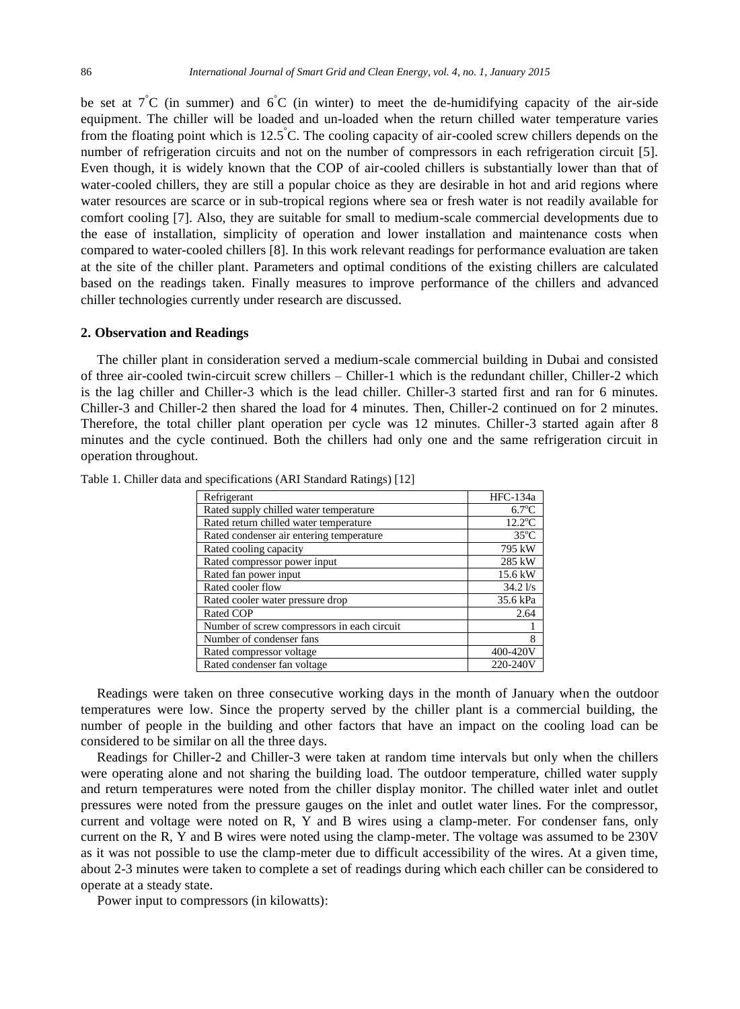be set at  $7^{\circ}$ C (in summer) and  $6^{\circ}$ C (in winter) to meet the de-humidifying capacity of the air-side equipment. The chiller will be loaded and un-loaded when the return chilled water temperature varies from the floating point which is 12.5  $\degree$ C. The cooling capacity of air-cooled screw chillers depends on the number of refrigeration circuits and not on the number of compressors in each refrigeration circuit [5]. Even though, it is widely known that the COP of air-cooled chillers is substantially lower than that of water-cooled chillers, they are still a popular choice as they are desirable in hot and arid regions where water resources are scarce or in sub-tropical regions where sea or fresh water is not readily available for comfort cooling [7]. Also, they are suitable for small to medium-scale commercial developments due to the ease of installation, simplicity of operation and lower installation and maintenance costs when compared to water-cooled chillers [8]. In this work relevant readings for performance evaluation are taken at the site of the chiller plant. Parameters and optimal conditions of the existing chillers are calculated based on the readings taken. Finally measures to improve performance of the chillers and advanced chiller technologies currently under research are discussed.

#### **2. Observation and Readings**

The chiller plant in consideration served a medium-scale commercial building in Dubai and consisted of three air-cooled twin-circuit screw chillers – Chiller-1 which is the redundant chiller, Chiller-2 which is the lag chiller and Chiller-3 which is the lead chiller. Chiller-3 started first and ran for 6 minutes. Chiller-3 and Chiller-2 then shared the load for 4 minutes. Then, Chiller-2 continued on for 2 minutes. Therefore, the total chiller plant operation per cycle was 12 minutes. Chiller-3 started again after 8 minutes and the cycle continued. Both the chillers had only one and the same refrigeration circuit in operation throughout.

| Refrigerant                                 | HFC-134a          |
|---------------------------------------------|-------------------|
| Rated supply chilled water temperature      | $6.7^{\circ}$ C   |
| Rated return chilled water temperature      | $12.2$ °C         |
| Rated condenser air entering temperature    | $35^{\circ}$ C    |
| Rated cooling capacity                      | 795 kW            |
| Rated compressor power input                | 285 kW            |
| Rated fan power input                       | 15.6 kW           |
| Rated cooler flow                           | $34.2\frac{1}{s}$ |
| Rated cooler water pressure drop            | 35.6 kPa          |
| Rated COP                                   | 2.64              |
| Number of screw compressors in each circuit |                   |
| Number of condenser fans                    | 8                 |
| Rated compressor voltage                    | 400-420V          |
| Rated condenser fan voltage                 | 220-240V          |

Table 1. Chiller data and specifications (ARI Standard Ratings) [12]

Readings were taken on three consecutive working days in the month of January when the outdoor temperatures were low. Since the property served by the chiller plant is a commercial building, the number of people in the building and other factors that have an impact on the cooling load can be considered to be similar on all the three days.

Readings for Chiller-2 and Chiller-3 were taken at random time intervals but only when the chillers were operating alone and not sharing the building load. The outdoor temperature, chilled water supply and return temperatures were noted from the chiller display monitor. The chilled water inlet and outlet pressures were noted from the pressure gauges on the inlet and outlet water lines. For the compressor, current and voltage were noted on R, Y and B wires using a clamp-meter. For condenser fans, only current on the R, Y and B wires were noted using the clamp-meter. The voltage was assumed to be 230V as it was not possible to use the clamp-meter due to difficult accessibility of the wires. At a given time, about 2-3 minutes were taken to complete a set of readings during which each chiller can be considered to operate at a steady state.

Power input to compressors (in kilowatts):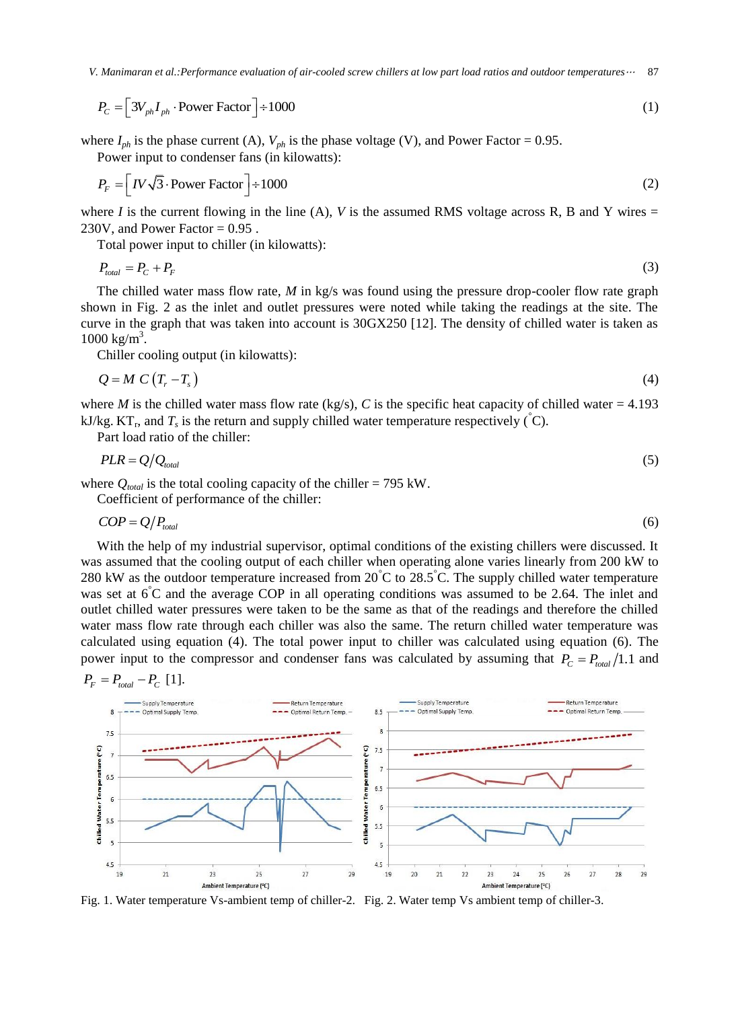87 *V. Manimaran et al.:Performance evaluation of air-cooled screw chillers at low part load ratios and outdoor temperatures*<sup>⋯</sup>

$$
P_C = \left[3V_{ph}I_{ph} \cdot \text{Power Factor}\right] \div 1000\tag{1}
$$

where  $I_{ph}$  is the phase current (A),  $V_{ph}$  is the phase voltage (V), and Power Factor = 0.95.

Power input to condenser fans (in kilowatts):

$$
P_F = \left[IV\sqrt{3}\cdot\text{Power Factor}\right] \div 1000\tag{2}
$$

where *I* is the current flowing in the line (A), *V* is the assumed RMS voltage across R, B and Y wires  $=$ 230V, and Power Factor  $= 0.95$ .

Total power input to chiller (in kilowatts):

$$
P_{total} = P_C + P_F \tag{3}
$$

The chilled water mass flow rate, *M* in kg/s was found using the pressure drop-cooler flow rate graph shown in Fig. 2 as the inlet and outlet pressures were noted while taking the readings at the site. The curve in the graph that was taken into account is 30GX250 [12]. The density of chilled water is taken as  $1000 \text{ kg/m}^3$ .

Chiller cooling output (in kilowatts):

$$
Q = M C (T_r - T_s) \tag{4}
$$

where *M* is the chilled water mass flow rate (kg/s), *C* is the specific heat capacity of chilled water = 4.193 kJ/kg.  $KT_r$ , and  $T_s$  is the return and supply chilled water temperature respectively ( $\hat{C}$ ).

Part load ratio of the chiller:

$$
PLR = Q/Q_{total} \tag{5}
$$

where  $Q_{total}$  is the total cooling capacity of the chiller = 795 kW.

Coefficient of performance of the chiller:

$$
COP = Q/P_{total} \tag{6}
$$

With the help of my industrial supervisor, optimal conditions of the existing chillers were discussed. It was assumed that the cooling output of each chiller when operating alone varies linearly from 200 kW to 280 kW as the outdoor temperature increased from 20  $\degree$ C to 28.5  $\degree$ C. The supply chilled water temperature was set at 6<sup>°</sup>C and the average COP in all operating conditions was assumed to be 2.64. The inlet and outlet chilled water pressures were taken to be the same as that of the readings and therefore the chilled water mass flow rate through each chiller was also the same. The return chilled water temperature was calculated using equation (4). The total power input to chiller was calculated using equation (6). The power input to the compressor and condenser fans was calculated by assuming that  $P_C = P_{total}/1.1$  and

$$
P_F = P_{total} - P_C
$$
 [1].



Fig. 1. Water temperature Vs-ambient temp of chiller-2. Fig. 2. Water temp Vs ambient temp of chiller-3.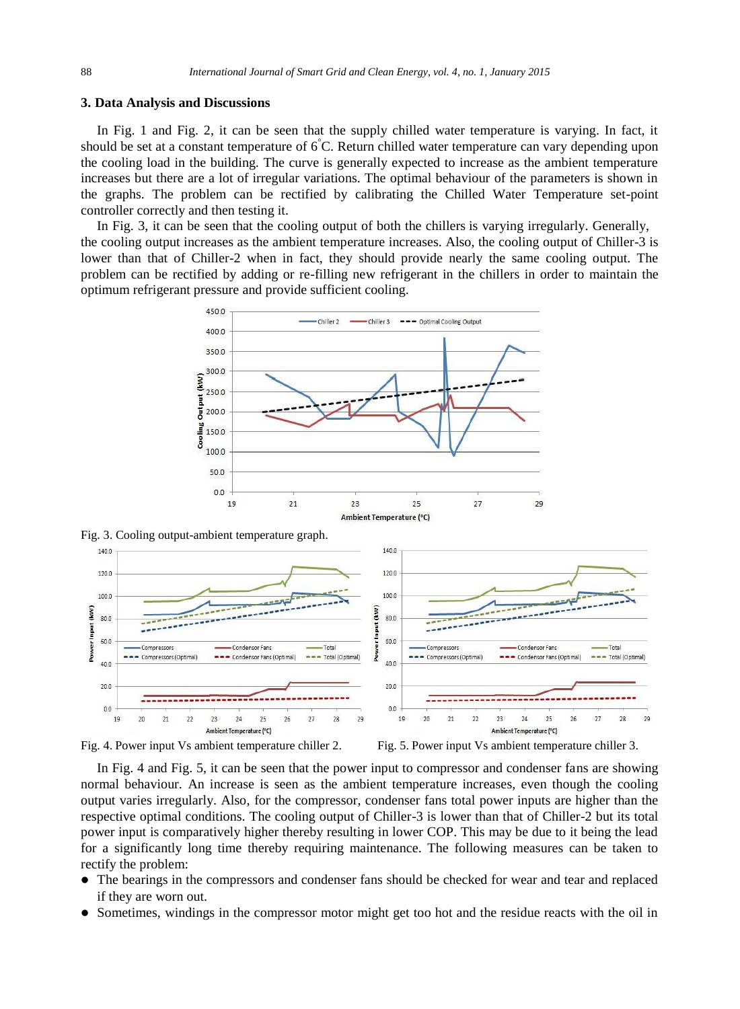#### **3. Data Analysis and Discussions**

In Fig. 1 and Fig. 2, it can be seen that the supply chilled water temperature is varying. In fact, it should be set at a constant temperature of 6°C. Return chilled water temperature can vary depending upon the cooling load in the building. The curve is generally expected to increase as the ambient temperature increases but there are a lot of irregular variations. The optimal behaviour of the parameters is shown in the graphs. The problem can be rectified by calibrating the Chilled Water Temperature set-point controller correctly and then testing it.

In Fig. 3, it can be seen that the cooling output of both the chillers is varying irregularly. Generally, the cooling output increases as the ambient temperature increases. Also, the cooling output of Chiller-3 is lower than that of Chiller-2 when in fact, they should provide nearly the same cooling output. The problem can be rectified by adding or re-filling new refrigerant in the chillers in order to maintain the optimum refrigerant pressure and provide sufficient cooling.



Fig. 3. Cooling output-ambient temperature graph.



Fig. 4. Power input Vs ambient temperature chiller 2. Fig. 5. Power input Vs ambient temperature chiller 3.

In Fig. 4 and Fig. 5, it can be seen that the power input to compressor and condenser fans are showing normal behaviour. An increase is seen as the ambient temperature increases, even though the cooling output varies irregularly. Also, for the compressor, condenser fans total power inputs are higher than the respective optimal conditions. The cooling output of Chiller-3 is lower than that of Chiller-2 but its total power input is comparatively higher thereby resulting in lower COP. This may be due to it being the lead for a significantly long time thereby requiring maintenance. The following measures can be taken to rectify the problem:

- The bearings in the compressors and condenser fans should be checked for wear and tear and replaced if they are worn out.
- Sometimes, windings in the compressor motor might get too hot and the residue reacts with the oil in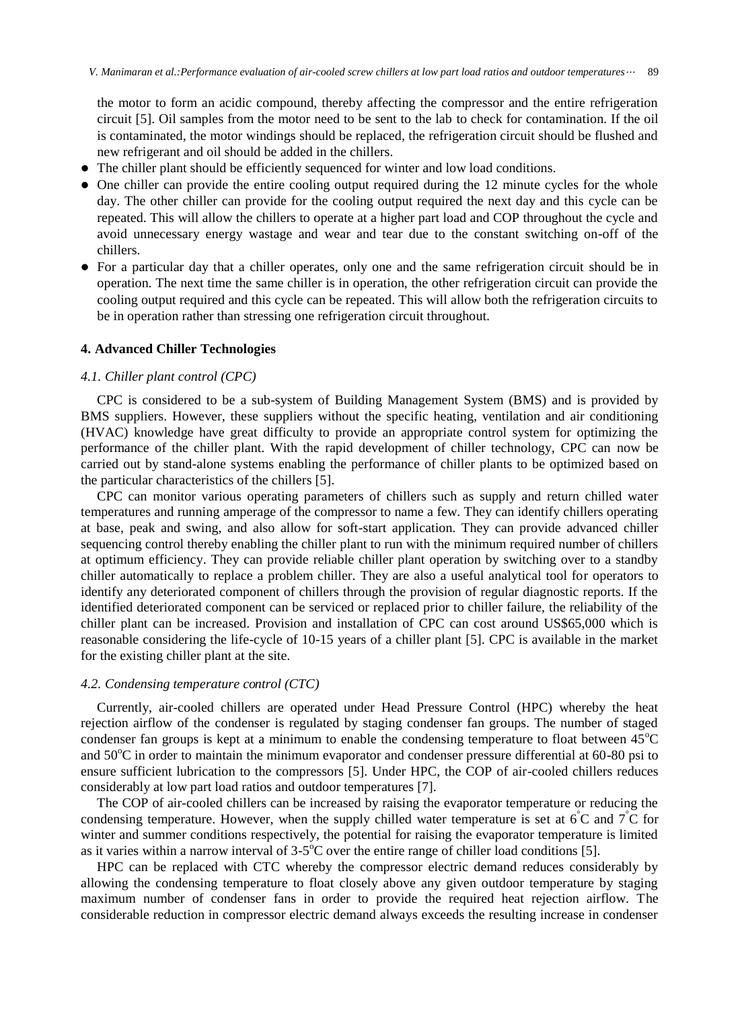the motor to form an acidic compound, thereby affecting the compressor and the entire refrigeration circuit [5]. Oil samples from the motor need to be sent to the lab to check for contamination. If the oil is contaminated, the motor windings should be replaced, the refrigeration circuit should be flushed and new refrigerant and oil should be added in the chillers.

- The chiller plant should be efficiently sequenced for winter and low load conditions.
- One chiller can provide the entire cooling output required during the 12 minute cycles for the whole day. The other chiller can provide for the cooling output required the next day and this cycle can be repeated. This will allow the chillers to operate at a higher part load and COP throughout the cycle and avoid unnecessary energy wastage and wear and tear due to the constant switching on-off of the chillers.
- For a particular day that a chiller operates, only one and the same refrigeration circuit should be in operation. The next time the same chiller is in operation, the other refrigeration circuit can provide the cooling output required and this cycle can be repeated. This will allow both the refrigeration circuits to be in operation rather than stressing one refrigeration circuit throughout.

## **4. Advanced Chiller Technologies**

# *4.1. Chiller plant control (CPC)*

CPC is considered to be a sub-system of Building Management System (BMS) and is provided by BMS suppliers. However, these suppliers without the specific heating, ventilation and air conditioning (HVAC) knowledge have great difficulty to provide an appropriate control system for optimizing the performance of the chiller plant. With the rapid development of chiller technology, CPC can now be carried out by stand-alone systems enabling the performance of chiller plants to be optimized based on the particular characteristics of the chillers [5].

CPC can monitor various operating parameters of chillers such as supply and return chilled water temperatures and running amperage of the compressor to name a few. They can identify chillers operating at base, peak and swing, and also allow for soft-start application. They can provide advanced chiller sequencing control thereby enabling the chiller plant to run with the minimum required number of chillers at optimum efficiency. They can provide reliable chiller plant operation by switching over to a standby chiller automatically to replace a problem chiller. They are also a useful analytical tool for operators to identify any deteriorated component of chillers through the provision of regular diagnostic reports. If the identified deteriorated component can be serviced or replaced prior to chiller failure, the reliability of the chiller plant can be increased. Provision and installation of CPC can cost around US\$65,000 which is reasonable considering the life-cycle of 10-15 years of a chiller plant [5]. CPC is available in the market for the existing chiller plant at the site.

## *4.2. Condensing temperature control (CTC)*

Currently, air-cooled chillers are operated under Head Pressure Control (HPC) whereby the heat rejection airflow of the condenser is regulated by staging condenser fan groups. The number of staged condenser fan groups is kept at a minimum to enable the condensing temperature to float between  $45^{\circ}$ C and  $50^{\circ}$ C in order to maintain the minimum evaporator and condenser pressure differential at 60-80 psi to ensure sufficient lubrication to the compressors [5]. Under HPC, the COP of air-cooled chillers reduces considerably at low part load ratios and outdoor temperatures [7].

The COP of air-cooled chillers can be increased by raising the evaporator temperature or reducing the condensing temperature. However, when the supply chilled water temperature is set at  $6\degree$ C and  $7\degree$ C for winter and summer conditions respectively, the potential for raising the evaporator temperature is limited as it varies within a narrow interval of  $3-5^{\circ}$ C over the entire range of chiller load conditions [5].

HPC can be replaced with CTC whereby the compressor electric demand reduces considerably by allowing the condensing temperature to float closely above any given outdoor temperature by staging maximum number of condenser fans in order to provide the required heat rejection airflow. The considerable reduction in compressor electric demand always exceeds the resulting increase in condenser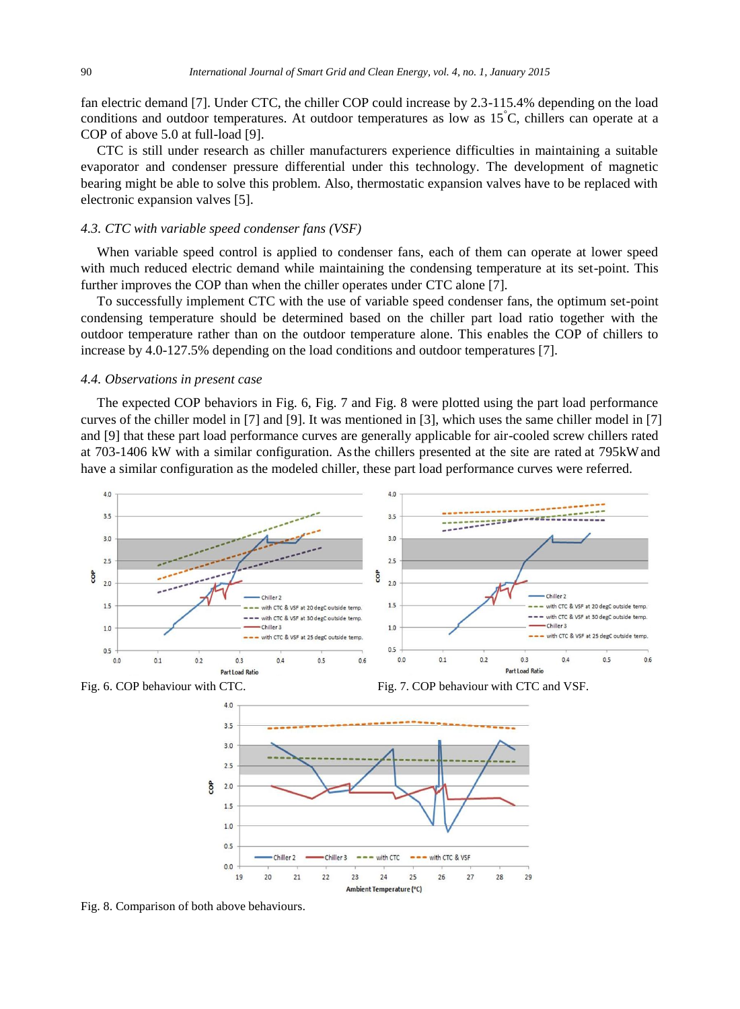fan electric demand [7]. Under CTC, the chiller COP could increase by 2.3-115.4% depending on the load conditions and outdoor temperatures. At outdoor temperatures as low as 15°C, chillers can operate at a COP of above 5.0 at full-load [9].

CTC is still under research as chiller manufacturers experience difficulties in maintaining a suitable evaporator and condenser pressure differential under this technology. The development of magnetic bearing might be able to solve this problem. Also, thermostatic expansion valves have to be replaced with electronic expansion valves [5].

## *4.3. CTC with variable speed condenser fans (VSF)*

When variable speed control is applied to condenser fans, each of them can operate at lower speed with much reduced electric demand while maintaining the condensing temperature at its set-point. This further improves the COP than when the chiller operates under CTC alone [7].

To successfully implement CTC with the use of variable speed condenser fans, the optimum set-point condensing temperature should be determined based on the chiller part load ratio together with the outdoor temperature rather than on the outdoor temperature alone. This enables the COP of chillers to increase by 4.0-127.5% depending on the load conditions and outdoor temperatures [7].

#### *4.4. Observations in present case*

The expected COP behaviors in Fig. 6, Fig. 7 and Fig. 8 were plotted using the part load performance curves of the chiller model in [7] and [9]. It was mentioned in [3], which uses the same chiller model in [7] and [9] that these part load performance curves are generally applicable for air-cooled screw chillers rated at 703-1406 kW with a similar configuration. As the chillers presented at the site are rated at 795 kW and have a similar configuration as the modeled chiller, these part load performance curves were referred.





Fig. 6. COP behaviour with CTC. Fig. 7. COP behaviour with CTC and VSF.



Fig. 8. Comparison of both above behaviours.